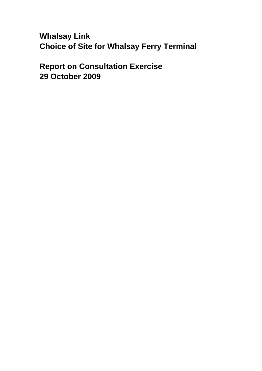**Whalsay Link Choice of Site for Whalsay Ferry Terminal**

**Report on Consultation Exercise 29 October 2009**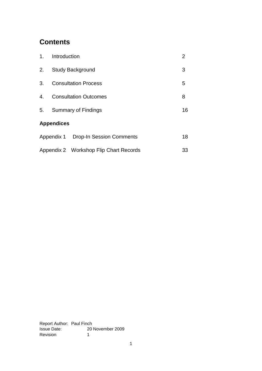# **Contents**

| 1.                | Introduction                 |                                        | 2  |
|-------------------|------------------------------|----------------------------------------|----|
| 2.                | <b>Study Background</b>      |                                        | 3  |
| 3.                | <b>Consultation Process</b>  |                                        | 5  |
| 4.                | <b>Consultation Outcomes</b> |                                        | 8  |
| 5.                | <b>Summary of Findings</b>   |                                        | 16 |
| <b>Appendices</b> |                              |                                        |    |
|                   |                              | Appendix 1 Drop-In Session Comments    | 18 |
|                   |                              | Appendix 2 Workshop Flip Chart Records | 33 |

Report Author: Paul Finch Issue Date: 20 November 2009 Revision 1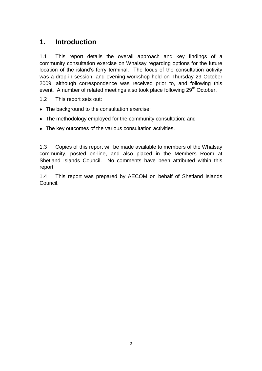# **1. Introduction**

1.1 This report details the overall approach and key findings of a community consultation exercise on Whalsay regarding options for the future location of the island"s ferry terminal. The focus of the consultation activity was a drop-in session, and evening workshop held on Thursday 29 October 2009, although correspondence was received prior to, and following this event. A number of related meetings also took place following 29<sup>th</sup> October.

- 1.2 This report sets out:
- The background to the consultation exercise;
- The methodology employed for the community consultation; and
- The key outcomes of the various consultation activities.

1.3 Copies of this report will be made available to members of the Whalsay community, posted on-line, and also placed in the Members Room at Shetland Islands Council. No comments have been attributed within this report.

1.4 This report was prepared by AECOM on behalf of Shetland Islands Council.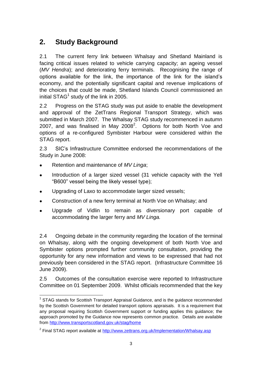# **2. Study Background**

2.1 The current ferry link between Whalsay and Shetland Mainland is facing critical issues related to vehicle carrying capacity; an ageing vessel (*MV Hendra*); and deteriorating ferry terminals. Recognising the range of options available for the link, the importance of the link for the island"s economy, and the potentially significant capital and revenue implications of the choices that could be made, Shetland Islands Council commissioned an initial STAG $^1$  study of the link in 2005.

2.2 Progress on the STAG study was put aside to enable the development and approval of the ZetTrans Regional Transport Strategy, which was submitted in March 2007. The Whalsay STAG study recommenced in autumn 2007, and was finalised in May 2008<sup>2</sup>. Options for both North Voe and options of a re-configured Symbister Harbour were considered within the STAG report.

2.3 SIC"s Infrastructure Committee endorsed the recommendations of the Study in June 2008:

Retention and maintenance of *MV Linga*;

l

- Introduction of a larger sized vessel (31 vehicle capacity with the Yell  $\bullet$ "B600" vessel being the likely vessel type);
- Upgrading of Laxo to accommodate larger sized vessels;  $\bullet$
- Construction of a new ferry terminal at North Voe on Whalsay; and  $\bullet$
- Upgrade of Vidlin to remain as diversionary port capable of accommodating the larger ferry and *MV Linga.*

2.4 Ongoing debate in the community regarding the location of the terminal on Whalsay, along with the ongoing development of both North Voe and Symbister options prompted further community consultation, providing the opportunity for any new information and views to be expressed that had not previously been considered in the STAG report. (Infrastructure Committee 16 June 2009).

2.5 Outcomes of the consultation exercise were reported to Infrastructure Committee on 01 September 2009. Whilst officials recommended that the key

<sup>&</sup>lt;sup>1</sup> STAG stands for Scottish Transport Appraisal Guidance, and is the guidance recommended by the Scottish Government for detailed transport options appraisals. It is a requirement that any proposal requiring Scottish Government support or funding applies this guidance; the approach promoted by the Guidance now represents common practice. Details are available from<http://www.transportscotland.gov.uk/stag/home>

<sup>&</sup>lt;sup>2</sup> Final STAG report available at<http://www.zettrans.org.uk/Implementation/Whalsay.asp>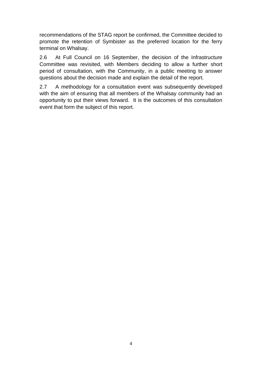recommendations of the STAG report be confirmed, the Committee decided to promote the retention of Symbister as the preferred location for the ferry terminal on Whalsay.

2.6 At Full Council on 16 September, the decision of the Infrastructure Committee was revisited, with Members deciding to allow a further short period of consultation, with the Community, in a public meeting to answer questions about the decision made and explain the detail of the report.

2.7 A methodology for a consultation event was subsequently developed with the aim of ensuring that all members of the Whalsay community had an opportunity to put their views forward. It is the outcomes of this consultation event that form the subject of this report.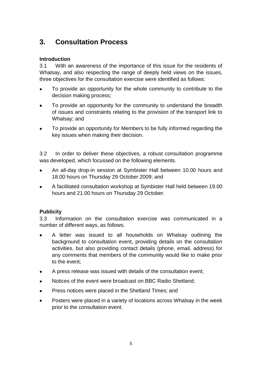# **3. Consultation Process**

# **Introduction**

3.1 With an awareness of the importance of this issue for the residents of Whalsay, and also respecting the range of deeply held views on the issues, three objectives for the consultation exercise were identified as follows:

- $\bullet$ To provide an opportunity for the whole community to contribute to the decision making process;
- To provide an opportunity for the community to understand the breadth of issues and constraints relating to the provision of the transport link to Whalsay; and
- To provide an opportunity for Members to be fully informed regarding the  $\bullet$ key issues when making their decision.

3.2 In order to deliver these objectives, a robust consultation programme was developed, which focussed on the following elements.

- An all-day drop-in session at Symbister Hall between 10.00 hours and  $\bullet$ 18.00 hours on Thursday 29 October 2009; and
- A facilitated consultation workshop at Symbister Hall held between 19.00  $\bullet$ hours and 21.00 hours on Thursday 29 October.

## **Publicity**

3.3 Information on the consultation exercise was communicated in a number of different ways, as follows.

- A letter was issued to all households on Whalsay outlining the  $\bullet$ background to consultation event, providing details on the consultation activities, but also providing contact details (phone, email, address) for any comments that members of the community would like to make prior to the event;
- A press release was issued with details of the consultation event;  $\bullet$
- Notices of the event were broadcast on BBC Radio Shetland;
- Press notices were placed in the Shetland Times; and
- Posters were placed in a variety of locations across Whalsay in the week  $\bullet$ prior to the consultation event.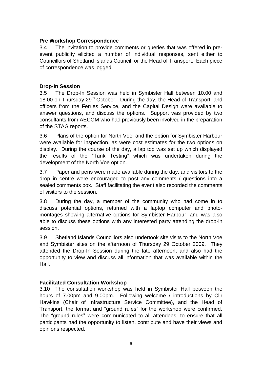#### **Pre Workshop Correspondence**

3.4 The invitation to provide comments or queries that was offered in preevent publicity elicited a number of individual responses, sent either to Councillors of Shetland Islands Council, or the Head of Transport. Each piece of correspondence was logged.

#### **Drop-In Session**

3.5 The Drop-In Session was held in Symbister Hall between 10.00 and 18.00 on Thursday  $29<sup>th</sup>$  October. During the day, the Head of Transport, and officers from the Ferries Service, and the Capital Design were available to answer questions, and discuss the options. Support was provided by two consultants from AECOM who had previously been involved in the preparation of the STAG reports.

3.6 Plans of the option for North Voe, and the option for Symbister Harbour were available for inspection, as were cost estimates for the two options on display. During the course of the day, a lap top was set up which displayed the results of the "Tank Testing" which was undertaken during the development of the North Voe option.

3.7 Paper and pens were made available during the day, and visitors to the drop in centre were encouraged to post any comments / questions into a sealed comments box. Staff facilitating the event also recorded the comments of visitors to the session.

3.8 During the day, a member of the community who had come in to discuss potential options, returned with a laptop computer and photomontages showing alternative options for Symbister Harbour, and was also able to discuss these options with any interested party attending the drop-in session.

3.9 Shetland Islands Councillors also undertook site visits to the North Voe and Symbister sites on the afternoon of Thursday 29 October 2009. They attended the Drop-In Session during the late afternoon, and also had the opportunity to view and discuss all information that was available within the Hall.

## **Facilitated Consultation Workshop**

3.10 The consultation workshop was held in Symbister Hall between the hours of 7.00pm and 9.00pm. Following welcome / introductions by Cllr Hawkins (Chair of Infrastructure Service Committee), and the Head of Transport, the format and "ground rules" for the workshop were confirmed. The "ground rules" were communicated to all attendees, to ensure that all participants had the opportunity to listen, contribute and have their views and opinions respected.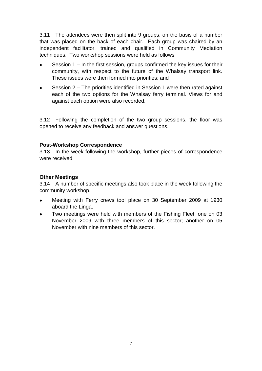3.11 The attendees were then split into 9 groups, on the basis of a number that was placed on the back of each chair. Each group was chaired by an independent facilitator, trained and qualified in Community Mediation techniques. Two workshop sessions were held as follows.

- Session 1 In the first session, groups confirmed the key issues for their community, with respect to the future of the Whalsay transport link. These issues were then formed into priorities; and
- Session 2 The priorities identified in Session 1 were then rated against each of the two options for the Whalsay ferry terminal. Views for and against each option were also recorded.

3.12 Following the completion of the two group sessions, the floor was opened to receive any feedback and answer questions.

#### **Post-Workshop Correspondence**

3.13 In the week following the workshop, further pieces of correspondence were received.

#### **Other Meetings**

3.14 A number of specific meetings also took place in the week following the community workshop.

- Meeting with Ferry crews tool place on 30 September 2009 at 1930  $\bullet$ aboard the Linga.
- Two meetings were held with members of the Fishing Fleet; one on 03 November 2009 with three members of this sector; another on 05 November with nine members of this sector.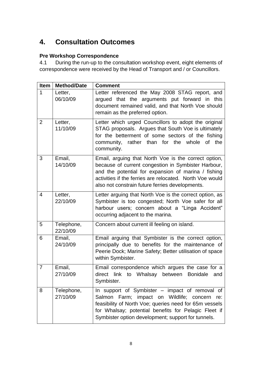# **4. Consultation Outcomes**

# **Pre Workshop Correspondence**

4.1 During the run-up to the consultation workshop event, eight elements of correspondence were received by the Head of Transport and / or Councillors.

| Item | <b>Method/Date</b>     | <b>Comment</b>                                                                                                                                                                                                                                                                    |
|------|------------------------|-----------------------------------------------------------------------------------------------------------------------------------------------------------------------------------------------------------------------------------------------------------------------------------|
| 1    | Letter,<br>06/10/09    | Letter referenced the May 2008 STAG report, and<br>argued that the arguments put forward in this<br>document remained valid, and that North Voe should<br>remain as the preferred option.                                                                                         |
| 2    | Letter,<br>11/10/09    | Letter which urged Councillors to adopt the original<br>STAG proposals. Argues that South Voe is ultimately<br>for the betterment of some sectors of the fishing<br>community, rather than for the whole of the<br>community.                                                     |
| 3    | Email,<br>14/10/09     | Email, arguing that North Voe is the correct option,<br>because of current congestion in Symbister Harbour,<br>and the potential for expansion of marina / fishing<br>activities if the ferries are relocated. North Voe would<br>also not constrain future ferries developments. |
| 4    | Letter,<br>22/10/09    | Letter arguing that North Voe is the correct option, as<br>Symbister is too congested; North Voe safer for all<br>harbour users; concern about a "Linga Accident"<br>occurring adjacent to the marina.                                                                            |
| 5    | Telephone,<br>22/10/09 | Concern about current ill feeling on island.                                                                                                                                                                                                                                      |
| 6    | Email,<br>24/10/09     | Email arguing that Symbister is the correct option,<br>principally due to benefits for the maintenance of<br>Peerie Dock; Marine Safety; Better utilisation of space<br>within Symbister.                                                                                         |
| 7    | Email,<br>27/10/09     | Email correspondence which argues the case for a<br>direct link to Whalsay between Bonidale<br>and<br>Symbister.                                                                                                                                                                  |
| 8    | Telephone,<br>27/10/09 | In support of Symbister – impact of removal of<br>Salmon<br>Farm; impact on Wildlife; concern<br>re:<br>feasibility of North Voe; queries need for 65m vessels<br>for Whalsay; potential benefits for Pelagic Fleet if<br>Symbister option development; support for tunnels.      |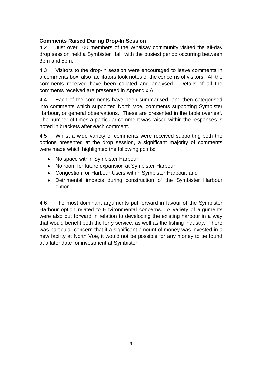# **Comments Raised During Drop-In Session**

4.2 Just over 100 members of the Whalsay community visited the all-day drop session held a Symbister Hall, with the busiest period occurring between 3pm and 5pm.

4.3 Visitors to the drop-in session were encouraged to leave comments in a comments box; also facilitators took notes of the concerns of visitors. All the comments received have been collated and analysed. Details of all the comments received are presented in Appendix A.

4.4 Each of the comments have been summarised, and then categorised into comments which supported North Voe, comments supporting Symbister Harbour, or general observations. These are presented in the table overleaf. The number of times a particular comment was raised within the responses is noted in brackets after each comment.

4.5 Whilst a wide variety of comments were received supporting both the options presented at the drop session, a significant majority of comments were made which highlighted the following points:

- No space within Symbister Harbour;
- No room for future expansion at Symbister Harbour;
- Congestion for Harbour Users within Symbister Harbour; and
- $\bullet$ Detrimental impacts during construction of the Symbister Harbour option.

4.6 The most dominant arguments put forward in favour of the Symbister Harbour option related to Environmental concerns. A variety of arguments were also put forward in relation to developing the existing harbour in a way that would benefit both the ferry service, as well as the fishing industry. There was particular concern that if a significant amount of money was invested in a new facility at North Voe, it would not be possible for any money to be found at a later date for investment at Symbister.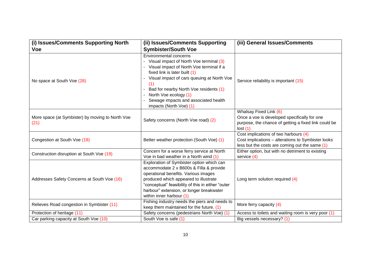| (i) Issues/Comments Supporting North                     | (ii) Issues/Comments Supporting                                                                                                                                                                                                                                                                                                                  | (iii) General Issues/Comments                                                                                                                 |  |
|----------------------------------------------------------|--------------------------------------------------------------------------------------------------------------------------------------------------------------------------------------------------------------------------------------------------------------------------------------------------------------------------------------------------|-----------------------------------------------------------------------------------------------------------------------------------------------|--|
| <b>Voe</b>                                               | <b>Symbister/South Voe</b>                                                                                                                                                                                                                                                                                                                       |                                                                                                                                               |  |
| No space at South Voe (28)                               | <b>Environmental concerns</b><br>Visual impact of North Voe terminal (3)<br>Visual impact of North Voe terminal if a<br>fixed link is later built (1)<br>Visual impact of cars queuing at North Voe<br>(1)<br>Bad for nearby North Voe residents (1)<br>North Voe ecology (1)<br>Sewage impacts and associated health<br>impacts (North Voe) (1) | Service reliability is important (15)                                                                                                         |  |
| More space (at Symbister) by moving to North Voe<br>(21) | Safety concerns (North Voe road) (2)                                                                                                                                                                                                                                                                                                             | Whalsay Fixed Link (6)<br>Once a voe is developed specifically for one<br>purpose, the chance of getting a fixed link could be<br>lost(1)     |  |
| Congestion at South Voe (19)                             | Better weather protection (South Voe) (1)                                                                                                                                                                                                                                                                                                        | Cost implications of two harbours (4)<br>Cost implications - alterations to Symbister looks<br>less but the costs are coming out the same (1) |  |
| Construction disruption at South Voe (19)                | Concern for a worse ferry service at North<br>Voe in bad weather in a North wind (1)                                                                                                                                                                                                                                                             | Either option, but with no detriment to existing<br>service (4)                                                                               |  |
| Addresses Safety Concerns at South Voe (16)              | Exploration of Symbister option which can<br>accommodate 2 x B600s & Filla & provide<br>operational benefits. Various images<br>produced which appeared to illustrate<br>"conceptual" feasibility of this in either "outer<br>harbour" extension, or longer breakwater<br>within inner harbour (1)                                               | Long term solution required (4)                                                                                                               |  |
| Relieves Road congestion in Symbister (11)               | Fishing industry needs the piers and needs to<br>keep them maintained for the future. (1)                                                                                                                                                                                                                                                        | More ferry capacity (4)                                                                                                                       |  |
| Protection of heritage (11)                              | Safety concerns (pedestrians North Voe) (1)                                                                                                                                                                                                                                                                                                      | Access to toilets and waiting room is very poor (1)                                                                                           |  |
| Car parking capacity at South Voe (10)                   | South Voe is safe (1)                                                                                                                                                                                                                                                                                                                            | Big vessels necessary? (1)                                                                                                                    |  |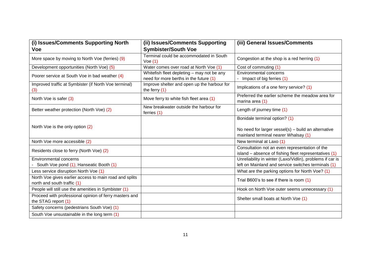| (i) Issues/Comments Supporting North                                                  | (ii) Issues/Comments Supporting                                                      | (iii) General Issues/Comments                                                                                                |
|---------------------------------------------------------------------------------------|--------------------------------------------------------------------------------------|------------------------------------------------------------------------------------------------------------------------------|
| <b>Voe</b>                                                                            | <b>Symbister/South Voe</b>                                                           |                                                                                                                              |
| More space by moving to North Voe (ferries) (9)                                       | Terminal could be accommodated in South<br>Voe(1)                                    | Congestion at the shop is a red herring (1)                                                                                  |
| Development opportunities (North Voe) (5)                                             | Water comes over road at North Voe (1)                                               | Cost of commuting (1)                                                                                                        |
| Poorer service at South Voe in bad weather (4)                                        | Whitefish fleet depleting - may not be any<br>need for more berths in the future (1) | Environmental concerns<br>Impact of big ferries (1)                                                                          |
| Improved traffic at Symbister (if North Voe terminal)<br>(3)                          | Improve shelter and open up the harbour for<br>the ferry $(1)$                       | Implications of a one ferry service? (1)                                                                                     |
| North Voe is safer (3)                                                                | Move ferry to white fish fleet area (1)                                              | Preferred the earlier scheme the meadow area for<br>marina area (1)                                                          |
| Better weather protection (North Voe) (2)                                             | New breakwater outside the harbour for<br>ferries (1)                                | Length of journey time (1)                                                                                                   |
| North Voe is the only option (2)                                                      |                                                                                      | Bonidale terminal option? (1)<br>No need for larger vessel(s) - build an alternative<br>mainland terminal nearer Whalsay (1) |
| North Voe more accessible (2)                                                         |                                                                                      | New terminal at Laxo (1)                                                                                                     |
| Residents close to ferry (North Voe) (2)                                              |                                                                                      | Consultation not an even representation of the<br>island - absence of fishing fleet representatives (1)                      |
| <b>Environmental concerns</b><br>South Voe pond (1); Hanseatic Booth (1)              |                                                                                      | Unreliability in winter (Laxo/Vidlin), problems if car is<br>left on Mainland and service switches terminals (1)             |
| Less service disruption North Voe (1)                                                 |                                                                                      | What are the parking options for North Voe? (1)                                                                              |
| North Voe gives earlier access to main road and splits<br>north and south traffic (1) |                                                                                      | Trial B600's to see if there is room (1)                                                                                     |
| People will still use the amenities in Symbister (1)                                  |                                                                                      | Hook on North Voe outer seems unnecessary (1)                                                                                |
| Proceed with professional opinion of ferry masters and<br>the STAG report (1)         |                                                                                      | Shelter small boats at North Voe (1)                                                                                         |
| Safety concerns (pedestrians South Voe) (1)                                           |                                                                                      |                                                                                                                              |
| South Voe unsustainable in the long term (1)                                          |                                                                                      |                                                                                                                              |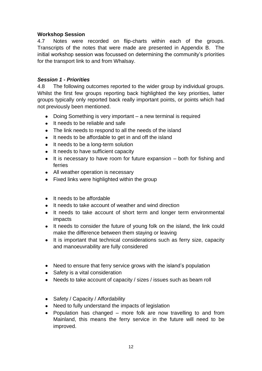## **Workshop Session**

4.7 Notes were recorded on flip-charts within each of the groups. Transcripts of the notes that were made are presented in Appendix B. The initial workshop session was focussed on determining the community's priorities for the transport link to and from Whalsay.

#### *Session 1 - Priorities*

4.8 The following outcomes reported to the wider group by individual groups. Whilst the first few groups reporting back highlighted the key priorities, latter groups typically only reported back really important points, or points which had not previously been mentioned.

- Doing Something is very important a new terminal is required
- It needs to be reliable and safe
- The link needs to respond to all the needs of the island
- It needs to be affordable to get in and off the island
- It needs to be a long-term solution
- It needs to have sufficient capacity
- $\bullet$  It is necessary to have room for future expansion  $-$  both for fishing and ferries
- All weather operation is necessary
- Fixed links were highlighted within the group
- It needs to be affordable
- It needs to take account of weather and wind direction
- It needs to take account of short term and longer term environmental impacts
- It needs to consider the future of young folk on the island, the link could make the difference between them staying or leaving
- It is important that technical considerations such as ferry size, capacity and manoeuvrability are fully considered
- Need to ensure that ferry service grows with the island's population
- Safety is a vital consideration
- Needs to take account of capacity / sizes / issues such as beam roll
- Safety / Capacity / Affordability
- Need to fully understand the impacts of legislation
- Population has changed more folk are now travelling to and from Mainland, this means the ferry service in the future will need to be improved.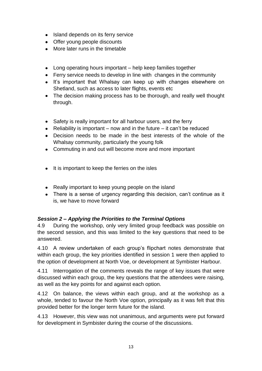- Island depends on its ferry service
- Offer young people discounts
- More later runs in the timetable
- Long operating hours important help keep families together
- Ferry service needs to develop in line with changes in the community
- It's important that Whalsay can keep up with changes elsewhere on Shetland, such as access to later flights, events etc
- The decision making process has to be thorough, and really well thought through.
- Safety is really important for all harbour users, and the ferry
- Reliability is important now and in the future it can't be reduced
- Decision needs to be made in the best interests of the whole of the Whalsay community, particularly the young folk
- Commuting in and out will become more and more important
- $\bullet$  It is important to keep the ferries on the isles
- Really important to keep young people on the island
- There is a sense of urgency regarding this decision, can't continue as it is, we have to move forward

# *Session 2 – Applying the Priorities to the Terminal Options*

4.9 During the workshop, only very limited group feedback was possible on the second session, and this was limited to the key questions that need to be answered.

4.10 A review undertaken of each group"s flipchart notes demonstrate that within each group, the key priorities identified in session 1 were then applied to the option of development at North Voe, or development at Symbister Harbour.

4.11 Interrogation of the comments reveals the range of key issues that were discussed within each group, the key questions that the attendees were raising, as well as the key points for and against each option.

4.12 On balance, the views within each group, and at the workshop as a whole, tended to favour the North Voe option, principally as it was felt that this provided better for the longer term future for the island.

4.13 However, this view was not unanimous, and arguments were put forward for development in Symbister during the course of the discussions.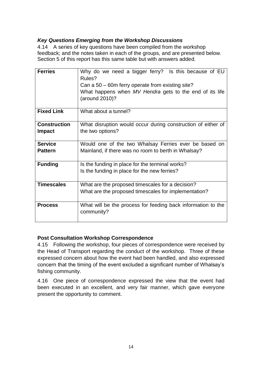# *Key Questions Emerging from the Workshop Discussions*

4.14 A series of key questions have been compiled from the workshop feedback; and the notes taken in each of the groups, and are presented below. Section 5 of this report has this same table but with answers added.

| <b>Ferries</b>                       | Why do we need a bigger ferry? Is this because of EU<br>Rules?<br>Can a 50 – 60m ferry operate from existing site?<br>What happens when MV Hendra gets to the end of its life<br>(around 2010)? |  |  |
|--------------------------------------|-------------------------------------------------------------------------------------------------------------------------------------------------------------------------------------------------|--|--|
| <b>Fixed Link</b>                    | What about a tunnel?                                                                                                                                                                            |  |  |
| <b>Construction</b><br><b>Impact</b> | What disruption would occur during construction of either of<br>the two options?                                                                                                                |  |  |
| <b>Service</b>                       | Would one of the two Whalsay Ferries ever be based on                                                                                                                                           |  |  |
| <b>Pattern</b>                       | Mainland, if there was no room to berth in Whalsay?                                                                                                                                             |  |  |
| <b>Funding</b>                       | Is the funding in place for the terminal works?                                                                                                                                                 |  |  |
|                                      | Is the funding in place for the new ferries?                                                                                                                                                    |  |  |
| <b>Timescales</b>                    | What are the proposed timescales for a decision?                                                                                                                                                |  |  |
|                                      | What are the proposed timescales for implementation?                                                                                                                                            |  |  |
| <b>Process</b>                       | What will be the process for feeding back information to the<br>community?                                                                                                                      |  |  |

## **Post Consultation Workshop Correspondence**

4.15 Following the workshop, four pieces of correspondence were received by the Head of Transport regarding the conduct of the workshop. Three of these expressed concern about how the event had been handled, and also expressed concern that the timing of the event excluded a significant number of Whalsay"s fishing community.

4.16 One piece of correspondence expressed the view that the event had been executed in an excellent, and very fair manner, which gave everyone present the opportunity to comment.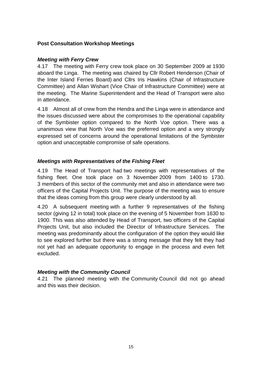# **Post Consultation Workshop Meetings**

## *Meeting with Ferry Crew*

4.17 The meeting with Ferry crew took place on 30 September 2009 at 1930 aboard the Linga. The meeting was chaired by Cllr Robert Henderson (Chair of the Inter Island Ferries Board) and Cllrs Iris Hawkins (Chair of Infrastructure Committee) and Allan Wishart (Vice Chair of Infrastructure Committee) were at the meeting. The Marine Superintendent and the Head of Transport were also in attendance.

4.18 Almost all of crew from the Hendra and the Linga were in attendance and the issues discussed were about the compromises to the operational capability of the Symbister option compared to the North Voe option. There was a unanimous view that North Voe was the preferred option and a very strongly expressed set of concerns around the operational limitations of the Symbister option and unacceptable compromise of safe operations.

## *Meetings with Representatives of the Fishing Fleet*

4.19 The Head of Transport had two meetings with representatives of the fishing fleet. One took place on 3 November 2009 from 1400 to 1730. 3 members of this sector of the community met and also in attendance were two officers of the Capital Projects Unit. The purpose of the meeting was to ensure that the ideas coming from this group were clearly understood by all.

4.20 A subsequent meeting with a further 9 representatives of the fishing sector (giving 12 in total) took place on the evening of 5 November from 1630 to 1900. This was also attended by Head of Transport, two officers of the Capital Projects Unit, but also included the Director of Infrastructure Services. The meeting was predominantly about the configuration of the option they would like to see explored further but there was a strong message that they felt they had not yet had an adequate opportunity to engage in the process and even felt excluded.

## *Meeting with the Community Council*

4.21 The planned meeting with the Community Council did not go ahead and this was their decision.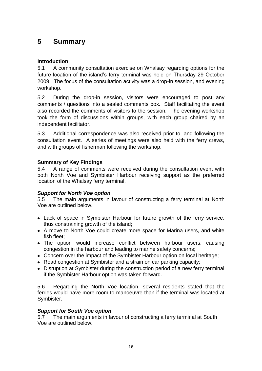# **5 Summary**

# **Introduction**

5.1 A community consultation exercise on Whalsay regarding options for the future location of the island's ferry terminal was held on Thursday 29 October 2009. The focus of the consultation activity was a drop-in session, and evening workshop.

5.2 During the drop-in session, visitors were encouraged to post any comments / questions into a sealed comments box. Staff facilitating the event also recorded the comments of visitors to the session. The evening workshop took the form of discussions within groups, with each group chaired by an independent facilitator.

5.3 Additional correspondence was also received prior to, and following the consultation event. A series of meetings were also held with the ferry crews, and with groups of fisherman following the workshop.

## **Summary of Key Findings**

5.4 A range of comments were received during the consultation event with both North Voe and Symbister Harbour receiving support as the preferred location of the Whalsay ferry terminal.

## *Support for North Voe option*

5.5 The main arguments in favour of constructing a ferry terminal at North Voe are outlined below.

- Lack of space in Symbister Harbour for future growth of the ferry service, thus constraining growth of the island;
- A move to North Voe could create more space for Marina users, and white fish fleet;
- The option would increase conflict between harbour users, causing congestion in the harbour and leading to marine safety concerns;
- Concern over the impact of the Symbister Harbour option on local heritage;
- Road congestion at Symbister and a strain on car parking capacity;
- Disruption at Symbister during the construction period of a new ferry terminal if the Symbister Harbour option was taken forward.

5.6 Regarding the North Voe location, several residents stated that the ferries would have more room to manoeuvre than if the terminal was located at Symbister.

#### *Support for South Voe option*

5.7 The main arguments in favour of constructing a ferry terminal at South Voe are outlined below.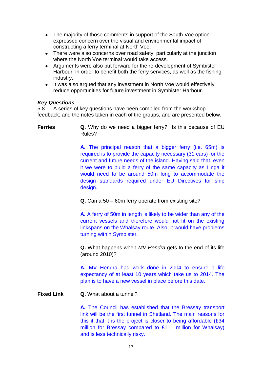- The majority of those comments in support of the South Voe option expressed concern over the visual and environmental impact of constructing a ferry terminal at North Voe.
- There were also concerns over road safety, particularly at the junction where the North Voe terminal would take access.
- Arguments were also put forward for the re-development of Symbister Harbour, in order to benefit both the ferry services, as well as the fishing industry.
- It was also argued that any investment in North Voe would effectively reduce opportunities for future investment in Symbister Harbour.

#### *Key Questions*

5.8 A series of key questions have been compiled from the workshop feedback; and the notes taken in each of the groups, and are presented below.

| <b>Ferries</b>    | Q. Why do we need a bigger ferry? Is this because of EU                                                                                                                                                                                                                                                                                                                                    |  |  |
|-------------------|--------------------------------------------------------------------------------------------------------------------------------------------------------------------------------------------------------------------------------------------------------------------------------------------------------------------------------------------------------------------------------------------|--|--|
|                   | Rules?                                                                                                                                                                                                                                                                                                                                                                                     |  |  |
|                   | A. The principal reason that a bigger ferry (i.e. 65m) is<br>required is to provide the capacity necessary (31 cars) for the<br>current and future needs of the island. Having said that, even<br>it we were to build a ferry of the same capacity as Linga it<br>would need to be around 50m long to accommodate the<br>design standards required under EU Directives for ship<br>design. |  |  |
|                   | Q. Can a 50 – 60m ferry operate from existing site?                                                                                                                                                                                                                                                                                                                                        |  |  |
|                   | A. A ferry of 50m in length is likely to be wider than any of the<br>current vessels and therefore would not fit on the existing<br>linkspans on the Whalsay route. Also, it would have problems<br>turning within Symbister.                                                                                                                                                              |  |  |
|                   | Q. What happens when MV Hendra gets to the end of its life<br>(around 2010)?                                                                                                                                                                                                                                                                                                               |  |  |
|                   | A. MV Hendra had work done in 2004 to ensure a life<br>expectancy of at least 10 years which take us to 2014. The<br>plan is to have a new vessel in place before this date.                                                                                                                                                                                                               |  |  |
| <b>Fixed Link</b> | Q. What about a tunnel?                                                                                                                                                                                                                                                                                                                                                                    |  |  |
|                   | A. The Council has established that the Bressay transport<br>link will be the first tunnel in Shetland. The main reasons for<br>this it that it is the project is closer to being affordable (£34<br>million for Bressay compared to £111 million for Whalsay)<br>and is less technically risky.                                                                                           |  |  |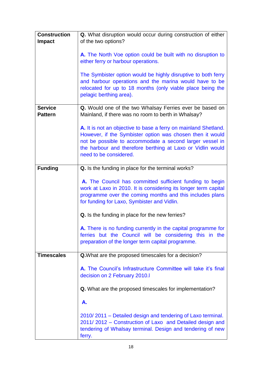| <b>Construction</b> | Q. What disruption would occur during construction of either                                                          |  |  |
|---------------------|-----------------------------------------------------------------------------------------------------------------------|--|--|
| <b>Impact</b>       | of the two options?                                                                                                   |  |  |
|                     |                                                                                                                       |  |  |
|                     | A. The North Voe option could be built with no disruption to<br>either ferry or harbour operations.                   |  |  |
|                     |                                                                                                                       |  |  |
|                     | The Symbister option would be highly disruptive to both ferry                                                         |  |  |
|                     | and harbour operations and the marina would have to be                                                                |  |  |
|                     | relocated for up to 18 months (only viable place being the                                                            |  |  |
|                     | pelagic berthing area).                                                                                               |  |  |
| <b>Service</b>      | Q. Would one of the two Whalsay Ferries ever be based on                                                              |  |  |
| <b>Pattern</b>      | Mainland, if there was no room to berth in Whalsay?                                                                   |  |  |
|                     |                                                                                                                       |  |  |
|                     | A. It is not an objective to base a ferry on mainland Shetland.                                                       |  |  |
|                     | However, if the Symbister option was chosen then it would<br>not be possible to accommodate a second larger vessel in |  |  |
|                     | the harbour and therefore berthing at Laxo or Vidlin would                                                            |  |  |
|                     | need to be considered.                                                                                                |  |  |
|                     |                                                                                                                       |  |  |
| <b>Funding</b>      | Q. Is the funding in place for the terminal works?                                                                    |  |  |
|                     | A. The Council has committed sufficient funding to begin                                                              |  |  |
|                     | work at Laxo in 2010. It is considering its longer term capital                                                       |  |  |
|                     | programme over the coming months and this includes plans                                                              |  |  |
|                     | for funding for Laxo, Symbister and Vidlin.                                                                           |  |  |
|                     |                                                                                                                       |  |  |
|                     | Q. Is the funding in place for the new ferries?                                                                       |  |  |
|                     | A. There is no funding currently in the capital programme for                                                         |  |  |
|                     | ferries but the Council will be considering this in the                                                               |  |  |
|                     | preparation of the longer term capital programme.                                                                     |  |  |
| <b>Timescales</b>   | <b>Q.</b> What are the proposed timescales for a decision?                                                            |  |  |
|                     |                                                                                                                       |  |  |
|                     | A. The Council's Infrastructure Committee will take it's final                                                        |  |  |
|                     | decision on 2 February 2010.I                                                                                         |  |  |
|                     | <b>Q.</b> What are the proposed timescales for implementation?                                                        |  |  |
|                     | А.                                                                                                                    |  |  |
|                     | 2010/2011 – Detailed design and tendering of Laxo terminal.                                                           |  |  |
|                     | 2011/2012 - Construction of Laxo and Detailed design and                                                              |  |  |
|                     | tendering of Whalsay terminal. Design and tendering of new                                                            |  |  |
|                     | ferry.                                                                                                                |  |  |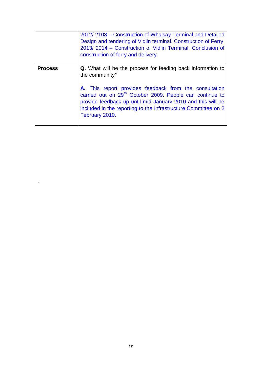|                | 2012/2103 - Construction of Whalsay Terminal and Detailed<br>Design and tendering of Vidlin terminal. Construction of Ferry<br>2013/2014 - Construction of Vidlin Terminal. Conclusion of<br>construction of ferry and delivery.                                                  |  |
|----------------|-----------------------------------------------------------------------------------------------------------------------------------------------------------------------------------------------------------------------------------------------------------------------------------|--|
| <b>Process</b> | <b>Q.</b> What will be the process for feeding back information to<br>the community?                                                                                                                                                                                              |  |
|                | A. This report provides feedback from the consultation<br>carried out on 29 <sup>th</sup> October 2009. People can continue to<br>provide feedback up until mid January 2010 and this will be<br>included in the reporting to the Infrastructure Committee on 2<br>February 2010. |  |

.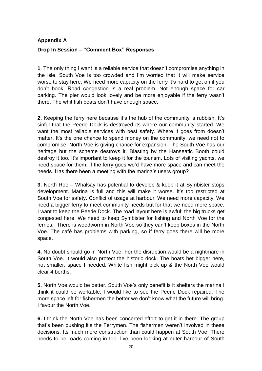# **Appendix A Drop In Session – "Comment Box" Responses**

**1**. The only thing I want is a reliable service that doesn"t compromise anything in the isle. South Voe is too crowded and I"m worried that it will make service worse to stay here. We need more capacity on the ferry it's hard to get on if you don"t book. Road congestion is a real problem. Not enough space for car parking. The pier would look lovely and be more enjoyable if the ferry wasn"t there. The whit fish boats don"t have enough space.

**2.** Keeping the ferry here because it's the hub of the community is rubbish. It's sinful that the Peerie Dock is destroyed its where our community started. We want the most reliable services with best safety. Where it goes from doesn"t matter. It's the one chance to spend money on the community, we need not to compromise. North Voe is giving chance for expansion. The South Voe has our heritage but the scheme destroys it. Blasting by the Hanseatic Booth could destroy it too. It's important to keep it for the tourism. Lots of visiting yachts, we need space for them. If the ferry goes we"d have more space and can meet the needs. Has there been a meeting with the marina's users group?

**3.** North Roe – Whalsay has potential to develop & keep it at Symbister stops development. Marina is full and this will make it worse. It"s too restricted at South Voe for safety. Conflict of usage at harbour. We need more capacity. We need a bigger ferry to meet community needs but for that we need more space. I want to keep the Peerie Dock. The road layout here is awful; the big trucks get congested here. We need to keep Symbister for fishing and North Voe for the ferries. There is woodworm in North Voe so they can"t keep boxes in the North Voe. The café has problems with parking, so if ferry goes there will be more space.

**4.** No doubt should go in North Voe. For the disruption would be a nightmare in South Voe. It would also protect the historic dock. The boats bet bigger here, not smaller, space I needed. White fish might pick up & the North Voe would clear 4 berths.

**5.** North Voe would be better. South Voe's only benefit is it shelters the marina I think it could be workable. I would like to see the Peerie Dock repaired. The more space left for fishermen the better we don"t know what the future will bring. I favour the North Voe.

**6.** I think the North Voe has been concerted effort to get it in there. The group that's been pushing it's the Ferrymen. The fishermen weren't involved in these decisions. Its much more construction than could happen at South Voe. There needs to be roads coming in too. I"ve been looking at outer harbour of South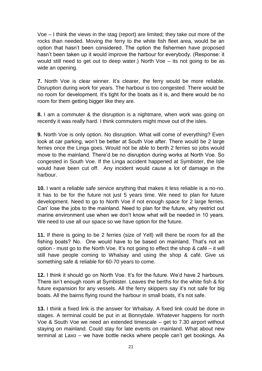Voe – I think the views in the stag (report) are limited; they take out more of the rocks than needed. Moving the ferry to the white fish fleet area, would be an option that hasn"t been considered. The option the fishermen have proposed hasn"t been taken up it would improve the harbour for everybody. (Response: it would still need to get out to deep water.) North Voe – its not going to be as wide an opening.

**7.** North Voe is clear winner. It's clearer, the ferry would be more reliable. Disruption during work for years. The harbour is too congested. There would be no room for development. It"s tight for the boats as it is, and there would be no room for them getting bigger like they are.

**8.** I am a commuter & the disruption is a nightmare, when work was going on recently it was really hard. I think commuters might move out of the isles.

**9.** North Voe is only option. No disruption. What will come of everything? Even look at car parking, won't be better at South Voe after. There would be 2 large ferries once the Linga goes. Would not be able to berth 2 ferries so jobs would move to the mainland. There"d be no disruption during works at North Voe. So congested in South Voe. If the Linga accident happened at Symbister, the Isle would have been cut off. Any incident would cause a lot of damage in the harbour.

**10.** I want a reliable safe service anything that makes it less reliable is a no-no. It has to be for the future not just 5 years time. We need to plan for future development. Need to go to North Voe if not enough space for 2 large ferries. Can" lose the jobs to the mainland. Need to plan for the future, why restrict out marine environment use when we don"t know what will be needed in 10 years. We need to use all our space so we have option for the future.

**11.** If there is going to be 2 ferries (size of Yell) will there be room for all the fishing boats? No. One would have to be based on mainland. That"s not an option - must go to the North Voe. It's not going to effect the shop  $\&$  café – it will still have people coming to Whalsay and using the shop & café. Give us something safe & reliable for 60-70 years to come.

**12.** I think it should go on North Voe. It's for the future. We'd have 2 harbours. There isn't enough room at Symbister. Leaves the berths for the white fish & for future expansion for any vessels. All the ferry skippers say it's not safe for big boats. All the bairns flying round the harbour in small boats, it's not safe.

**13.** I think a fixed link is the answer for Whalsay. A fixed link could be done in stages. A terminal could be put in at Bonnydale. Whatever happens for north Voe & South Voe we need an extended timescale – get to 7.30 airport without staying on mainland. Could stay for late events on mainland. What about new terminal at Laxo – we have bottle necks where people can"t get bookings. As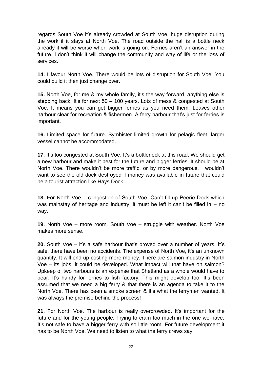regards South Voe it"s already crowded at South Voe, huge disruption during the work if it stays at North Voe. The road outside the hall is a bottle neck already it will be worse when work is going on. Ferries aren"t an answer in the future. I don't think it will change the community and way of life or the loss of services.

**14.** I favour North Voe. There would be lots of disruption for South Voe. You could build it then just change over.

**15.** North Voe, for me & my whole family, it's the way forward, anything else is stepping back. It's for next 50 – 100 years. Lots of mess & congested at South Voe. It means you can get bigger ferries as you need them. Leaves other harbour clear for recreation & fishermen. A ferry harbour that's just for ferries is important.

**16.** Limited space for future. Symbister limited growth for pelagic fleet, larger vessel cannot be accommodated.

**17.** It's too congested at South Voe. It's a bottleneck at this road. We should get a new harbour and make it best for the future and bigger ferries. It should be at North Voe. There wouldn"t be more traffic, or by more dangerous. I wouldn"t want to see the old dock destroyed if money was available in future that could be a tourist attraction like Hays Dock.

**18.** For North Voe – congestion of South Voe. Can"t fill up Peerie Dock which was mainstay of heritage and industry, it must be left it can't be filled in  $-$  no way.

**19.** North Voe – more room. South Voe – struggle with weather. North Voe makes more sense.

**20.** South Voe – it's a safe harbour that's proved over a number of years. It's safe, there have been no accidents. The expense of North Voe, it's an unknown quantity. It will end up costing more money. There are salmon industry in North Voe – its jobs, it could be developed. What impact will that have on salmon? Upkeep of two harbours is an expense that Shetland as a whole would have to bear. It's handy for lorries to fish factory. This might develop too. It's been assumed that we need a big ferry & that there is an agenda to take it to the North Voe. There has been a smoke screen & it"s what the ferrymen wanted. It was always the premise behind the process!

**21.** For North Voe. The harbour is really overcrowded. It's important for the future and for the young people. Trying to cram too much in the one we have. It's not safe to have a bigger ferry with so little room. For future development it has to be North Voe. We need to listen to what the ferry crews say.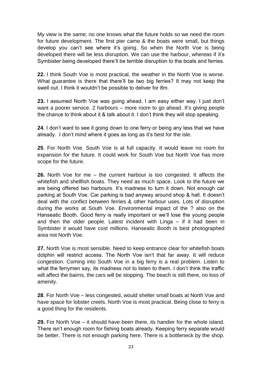My view is the same; no one knows what the future holds so we need the room for future development. The first pier came & the boats were small, but things develop you can't see where it's going. So when the North Voe is being developed there will be less disruption. We can use the harbour, whereas if it"s Symbister being developed there"ll be terrible disruption to the boats and ferries.

**22.** I think South Voe is most practical, the weather in the North Voe is worse. What guarantee is there that there"ll be two big ferries? It may not keep the swell out. I think it wouldn"t be possible to deliver for 8m.

**23.** I assumed North Voe was going ahead. I am easy either way. I just don"t want a poorer service. 2 harbours – more room to go ahead. It's giving people the chance to think about it & talk about it. I don"t think they will stop speaking.

**24**. I don"t want to see it going down to one ferry or being any less that we have already. I don"t mind where it goes as long as it"s best for the isle.

**25**. For North Voe. South Voe is at full capacity. It would leave no room for expansion for the future. It could work for South Voe but North Voe has more scope for the future.

**26.** North Voe for me – the current harbour is too congested. It affects the whitefish and shellfish boats. They need as much space. Look to the future we are being offered two harbours. It's madness to turn it down. Not enough car parking at South Voe. Car parking is bad anyway around shop & hall. It doesn"t deal with the conflict between ferries & other harbour uses. Lots of disruption during the works at South Voe. Environmental impact of the ? also on the Hanseatic Booth. Good ferry is really important or we"ll lose the young people and then the older people. Latest incident with Linga – if it had been in Symbister it would have cost millions. Hanseatic Booth is best photographed area not North Voe.

**27.** North Voe is most sensible. Need to keep entrance clear for whitefish boats dolphin will restrict access. The North Voe isn"t that far away. It will reduce congestion. Coming into South Voe in a big ferry is a real problem. Listen to what the ferrymen say, its madness not to listen to them. I don"t think the traffic will affect the bairns, the cars will be stopping. The beach is still there, no loss of amenity.

**28**. For North Voe – less congested, would shelter small boats at North Voe and have space for lobster creels. North Voe is most practical. Being close to ferry is a good thing for the residents.

**29.** For North Voe – it should have been there, its handier for the whole island. There isn"t enough room for fishing boats already. Keeping ferry separate would be better. There is not enough parking here. There is a bottleneck by the shop.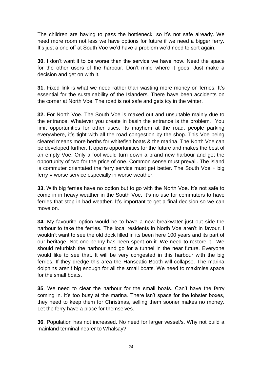The children are having to pass the bottleneck, so it's not safe already. We need more room not less we have options for future if we need a bigger ferry. It's just a one off at South Voe we'd have a problem we'd need to sort again.

**30.** I don"t want it to be worse than the service we have now. Need the space for the other users of the harbour. Don"t mind where it goes. Just make a decision and get on with it.

**31.** Fixed link is what we need rather than wasting more money on ferries. It"s essential for the sustainability of the Islanders. There have been accidents on the corner at North Voe. The road is not safe and gets icy in the winter.

**32.** For North Voe. The South Voe is maxed out and unsuitable mainly due to the entrance. Whatever you create in basin the entrance is the problem. You limit opportunities for other uses. Its mayhem at the road, people parking everywhere, it"s tight with all the road congestion by the shop. This Voe being cleared means more berths for whitefish boats & the marina. The North Voe can be developed further. It opens opportunities for the future and makes the best of an empty Voe. Only a fool would turn down a brand new harbour and get the opportunity of two for the price of one. Common sense must prevail. The island is commuter orientated the ferry service must get better. The South Voe + big ferry = worse service especially in worse weather.

**33.** With big ferries have no option but to go with the North Voe. It's not safe to come in in heavy weather in the South Voe. It"s no use for commuters to have ferries that stop in bad weather. It's important to get a final decision so we can move on.

**34**. My favourite option would be to have a new breakwater just out side the harbour to take the ferries. The local residents in North Voe aren't in favour. I wouldn"t want to see the old dock filled in its been here 100 years and its part of our heritage. Not one penny has been spent on it. We need to restore it. We should refurbish the harbour and go for a tunnel in the near future. Everyone would like to see that. It will be very congested in this harbour with the big ferries. If they dredge this area the Hanseatic Booth will collapse. The marina dolphins aren"t big enough for all the small boats. We need to maximise space for the small boats.

**35**. We need to clear the harbour for the small boats. Can"t have the ferry coming in. it's too busy at the marina. There isn't space for the lobster boxes, they need to keep them for Christmas, selling them sooner makes no money. Let the ferry have a place for themselves.

**36**. Population has not increased. No need for larger vessel/s. Why not build a mainland terminal nearer to Whalsay?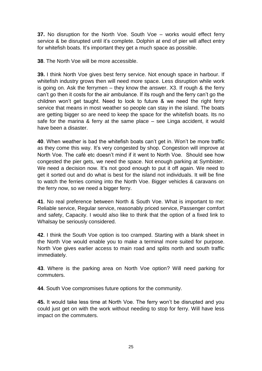**37.** No disruption for the North Voe. South Voe – works would effect ferry service & be disrupted until it's complete. Dolphin at end of pier will affect entry for whitefish boats. It's important they get a much space as possible.

**38**. The North Voe will be more accessible.

**39.** I think North Voe gives best ferry service. Not enough space in harbour. If whitefish industry grows then will need more space. Less disruption while work is going on. Ask the ferrymen – they know the answer. X3. If rough & the ferry can"t go then it costs for the air ambulance. If its rough and the ferry can"t go the children won"t get taught. Need to look to future & we need the right ferry service that means in most weather so people can stay in the island. The boats are getting bigger so are need to keep the space for the whitefish boats. Its no safe for the marina & ferry at the same place – see Linga accident, it would have been a disaster.

**40**. When weather is bad the whitefish boats can't get in. Won't be more traffic as they come this way. It's very congested by shop. Congestion will improve at North Voe. The café etc doesn"t mind if it went to North Voe. Should see how congested the pier gets, we need the space. Not enough parking at Symbister. We need a decision now. It's not good enough to put it off again. We need to get it sorted out and do what is best for the island not individuals. It will be fine to watch the ferries coming into the North Voe. Bigger vehicles & caravans on the ferry now, so we need a bigger ferry.

**41**. No real preference between North & South Voe. What is important to me: Reliable service, Regular service, reasonably priced service, Passenger comfort and safety, Capacity. I would also like to think that the option of a fixed link to Whalsay be seriously considered.

**42**. I think the South Voe option is too cramped. Starting with a blank sheet in the North Voe would enable you to make a terminal more suited for purpose. North Voe gives earlier access to main road and splits north and south traffic immediately.

**43**. Where is the parking area on North Voe option? Will need parking for commuters.

**44**. South Voe compromises future options for the community.

**45.** It would take less time at North Voe. The ferry won"t be disrupted and you could just get on with the work without needing to stop for ferry. Will have less impact on the commuters.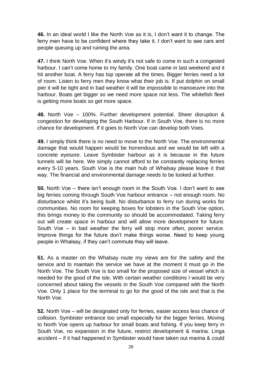**46.** In an ideal world I like the North Voe as it is, I don"t want it to change. The ferry men have to be confident where they take it. I don"t want to see cars and people queuing up and ruining the area.

**47.** I think North Voe. When it's windy it's not safe to come in such a congested harbour. I can't come home to my family. One boat came in last weekend and it hit another boat. A ferry has top operate all the times. Bigger ferries need a lot of room. Listen to ferry men they know what their job is. If put dolphin on small pier it will be tight and in bad weather it will be impossible to manoeuvre into the harbour. Boats get bigger so we need more space not less. The whitefish fleet is getting more boats so get more space.

**48.** North Voe – 100%. Further development potential. Sheer disruption & congestion for developing the South Harbour. If in South Voe, there is no more chance for development. If it goes to North Voe can develop both Voes.

**49.** I simply think there is no need to move to the North Voe. The environmental damage that would happen would be horrendous and we would be left with a concrete eyesore. Leave Symbister harbour as it is because in the future tunnels will be here. We simply cannot afford to be constantly replacing ferries every 5-10 years. South Voe is the main hub of Whalsay please leave it that way. The financial and environmental damage needs to be looked at further.

**50.** North Voe – there isn't enough room in the South Voe. I don't want to see big ferries coming through South Voe harbour entrance – not enough room. No disturbance whilst it"s being built. No disturbance to ferry run during works for communities. No room for keeping boxes for lobsters in the South Voe option, this brings money to the community so should be accommodated. Taking ferry out will create space in harbour and will allow more development for future. South Voe – in bad weather the ferry will stop more often, poorer service. Improve things for the future don"t make things worse. Need to keep young people in Whalsay, if they can"t commute they will leave.

**51.** As a master on the Whalsay route my views are for the safety and the service and to maintain the service we have at the moment it must go in the North Voe. The South Voe is too small for the proposed size of vessel which is needed for the good of the isle. With certain weather conditions I would be very concerned about taking the vessels in the South Voe compared with the North Voe. Only 1 place for the terminal to go for the good of the isle and that is the North Voe.

**52.** North Voe – will be designated only for ferries, easier access less chance of collision. Symbister entrance too small especially for the bigger ferries. Moving to North Voe opens up harbour for small boats and fishing. If you keep ferry in South Voe, no expansion in the future, restrict development & marina. Linga accident – if it had happened in Symbister would have taken out marina & could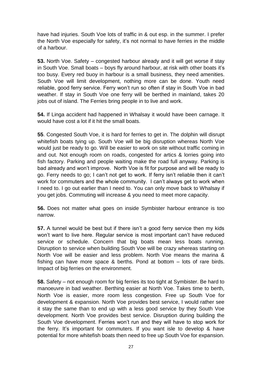have had injuries. South Voe lots of traffic in & out esp. in the summer. I prefer the North Voe especially for safety, it's not normal to have ferries in the middle of a harbour.

**53.** North Voe. Safety – congested harbour already and it will get worse if stay in South Voe. Small boats – boys fly around harbour, at risk with other boats it"s too busy. Every red buoy in harbour is a small business, they need amenities. South Voe will limit development, nothing more can be done. Youth need reliable, good ferry service. Ferry won"t run so often if stay in South Voe in bad weather. If stay in South Voe one ferry will be berthed in mainland, takes 20 jobs out of island. The Ferries bring people in to live and work.

**54.** If Linga accident had happened in Whalsay it would have been carnage. It would have cost a lot if it hit the small boats.

**55**. Congested South Voe, it is hard for ferries to get in. The dolphin will disrupt whitefish boats tying up. South Voe will be big disruption whereas North Voe would just be ready to go. Will be easier to work on site without traffic coming in and out. Not enough room on roads, congested for artics & lorries going into fish factory. Parking and people waiting make the road full anyway. Parking is bad already and won"t improve. North Voe is fit for purpose and will be ready to go. Ferry needs to go; I can't not get to work. If ferry isn't reliable then it can't work for commuters and the whole community. I can't always get to work when I need to. I go out earlier than I need to. You can only move back to Whalsay if you get jobs. Commuting will increase & you need to meet more capacity.

**56.** Does not matter what goes on inside Symbister harbour entrance is too narrow.

**57.** A tunnel would be best but if there isn't a good ferry service then my kids won't want to live here. Regular service is most important can't have reduced service or schedule. Concern that big boats mean less boats running. Disruption to service when building South Voe will be crazy whereas starting on North Voe will be easier and less problem. North Voe means the marina & fishing can have more space & berths. Pond at bottom – lots of rare birds. Impact of big ferries on the environment.

**58.** Safety – not enough room for big ferries its too tight at Symbister. Be hard to manoeuvre in bad weather. Berthing easier at North Voe. Takes time to berth, North Voe is easier, more room less congestion. Free up South Voe for development & expansion. North Voe provides best service, I would rather see it stay the same than to end up with a less good service by they South Voe development. North Voe provides best service. Disruption during building the South Voe development. Ferries won"t run and they will have to stop work for the ferry. It's important for commuters. If you want isle to develop & have potential for more whitefish boats then need to free up South Voe for expansion.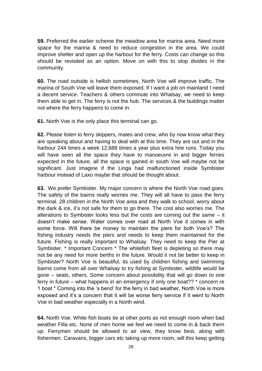**59.** Preferred the earlier scheme the meadow area for marina area. Need more space for the marina & need to reduce congestion in the area. We could improve shelter and open up the harbour for the ferry. Costs can change so this should be revisited as an option. Move on with this to stop divides in the community.

**60.** The road outside is hellish sometimes, North Voe will improve traffic. The marina of South Voe will leave them exposed. If I want a job on mainland I need a decent service. Teachers & others commute into Whalsay, we need to keep them able to get in. The ferry is not the hub. The services & the buildings matter not where the ferry happens to come in.

**61.** North Voe is the only place this terminal can go.

**62.** Please listen to ferry skippers, mates and crew, who by now know what they are speaking about and having to deal with at this time. They are out and in the harbour 244 times a week 12,688 times a year plus extra hire runs. Today you will have seen all the space they have to manoeuvre in and bigger ferries expected in the future, all the space is gained in south Voe will maybe not be significant. Just imagine if the Linga had malfunctioned inside Symbister harbour instead of Laxo maybe that should be thought about.

**63.** We prefer Symbister. My major concern is where the North Voe road goes. The safety of the bairns really worries me. They will all have to pass the ferry terminal. 28 children in the North Voe area and they walk to school, worry about the dark & ice, it"s not safe for them to go there. The cost also worries me. The alterations to Symbister looks less but the costs are coming out the same – it doesn"t make sense. Water comes over road at North Voe it comes in with some force. Will there be money to maintain the piers for both Voe's? The fishing industry needs the piers and needs to keep them maintained for the future. Fishing is really important to Whalsay. They need to keep the Pier at Symbister. \* Important Concern \* The whitefish fleet is depleting so there may not be any need for more berths in the future. Would it not be better to keep in Symbister? North Voe is beautiful, its used by children fishing and swimming bairns come from all over Whalsay to try fishing at Symbister, wildlife would be gone – seals, others. Some concern about possibility that will go down to one ferry in future – what happens in an emergency if only one boat?? \* concern re 1 boat \* Coming into the "s bend" for the ferry in bad weather, North Voe is more exposed and it's a concern that it will be worse ferry service if it went to North Voe in bad weather especially in a North wind.

**64.** North Voe. White fish boats tie at other ports as not enough room when bad weather Filla etc. None of men home we feel we need to come in & back them up. Ferrymen should be allowed to air view, they know best, along with fishermen. Caravans, bigger cars etc taking up more room, will this keep getting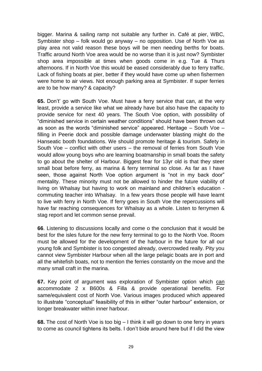bigger. Marina & sailing ramp not suitable any further in. Café at pier, WBC, Symbister shop – folk would go anyway – no opposition. Use of North Voe as play area not valid reason these boys will be men needing berths for boats. Traffic around North Voe area would be no worse than it is just now? Symbister shop area impossible at times when goods come in e.g. Tue & Thurs afternoons. If in North Voe this would be eased considerably due to ferry traffic. Lack of fishing boats at pier, better if they would have come up when fishermen were home to air views. Not enough parking area at Symbister. If super ferries are to be how many? & capacity?

**65.** Don"t" go with South Voe. Must have a ferry service that can, at the very least, provide a service like what we already have but also have the capacity to provide service for next 40 years. The South Voe option, with possibility of "diminished service in certain weather conditions" should have been thrown out as soon as the words "diminished service" appeared. Heritage – South Voe – filling in Peerie dock and possible damage underwater blasting might do the Hanseatic booth foundations. We should promote heritage & tourism. Safety in South Voe – conflict with other users – the removal of ferries from South Voe would allow young boys who are learning boatmanship in small boats the safety to go about the shelter of Harbour. Biggest fear for 13yr old is that they steer small boat before ferry, as marina & ferry terminal so close. As far as I have seen, those against North Voe option argument is "not in my back door" mentality. These minority must not be allowed to hinder the future viability of living on Whalsay but having to work on mainland and children's education commuting teacher into Whalsay. In a few years those people will have learnt to live with ferry in North Voe. If ferry goes in South Voe the repercussions will have far reaching consequences for Whalsay as a whole. Listen to ferrymen & stag report and let common sense prevail.

**66**. Listening to discussions locally and come o the conclusion that it would be best for the isles future for the new ferry terminal to go to the North Voe. Room must be allowed for the development of the harbour in the future for all our young folk and Symbister is too congested already, overcrowded really. Pity you cannot view Symbister Harbour when all the large pelagic boats are in port and all the whitefish boats, not to mention the ferries constantly on the move and the many small craft in the marina.

**67.** Key point of argument was exploration of Symbister option which can accommodate 2 x B600s & Filla & provide operational benefits. For same/equivalent cost of North Voe. Various images produced which appeared to illustrate "conceptual" feasibility of this in either "outer harbour" extension, or longer breakwater within inner harbour.

**68.** The cost of North Voe is too big – I think it will go down to one ferry in years to come as council tightens its belts. I don"t bide around here but if I did the view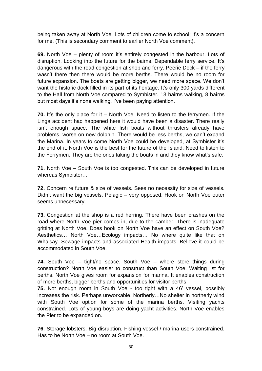being taken away at North Voe. Lots of children come to school; it's a concern for me. (This is secondary comment to earlier North Voe comment).

**69.** North Voe – plenty of room it's entirely congested in the harbour. Lots of disruption. Looking into the future for the bairns. Dependable ferry service. It"s dangerous with the road congestion at shop and ferry. Peerie Dock – if the ferry wasn"t there then there would be more berths. There would be no room for future expansion. The boats are getting bigger, we need more space. We don"t want the historic dock filled in its part of its heritage. It's only 300 yards different to the Hall from North Voe compared to Symbister. 13 bairns walking, 8 bairns but most days it's none walking. I've been paying attention.

**70.** It's the only place for it – North Voe. Need to listen to the ferrymen. If the Linga accident had happened here it would have been a disaster. There really isn"t enough space. The white fish boats without thrusters already have problems, worse on new dolphin. There would be less berths, we can"t expand the Marina. In years to come North Voe could be developed, at Symbister it"s the end of it. North Voe is the best for the future of the Island. Need to listen to the Ferrymen. They are the ones taking the boats in and they know what"s safe.

**71.** North Voe – South Voe is too congested. This can be developed in future whereas Symbister…

**72.** Concern re future & size of vessels. Sees no necessity for size of vessels. Didn"t want the big vessels. Pelagic – very opposed. Hook on North Voe outer seems unnecessary.

**73.** Congestion at the shop is a red herring. There have been crashes on the road where North Voe pier comes in, due to the camber. There is inadequate gritting at North Voe. Does hook on North Voe have an effect on South Voe? Aesthetics… North Voe…Ecology impacts… No where quite like that on Whalsay. Sewage impacts and associated Health impacts. Believe it could be accommodated in South Voe.

**74.** South Voe – tight/no space. South Voe – where store things during construction? North Voe easier to construct than South Voe. Waiting list for berths. North Voe gives room for expansion for marina. It enables construction of more berths, bigger berths and opportunities for visitor berths.

**75.** Not enough room in South Voe - too tight with a 46" vessel, possibly increases the risk. Perhaps unworkable. Northerly…No shelter in northerly wind with South Voe option for some of the marina berths. Visiting vachts constrained. Lots of young boys are doing yacht activities. North Voe enables the Pier to be expanded on.

**76**. Storage lobsters. Big disruption. Fishing vessel / marina users constrained. Has to be North Voe – no room at South Voe.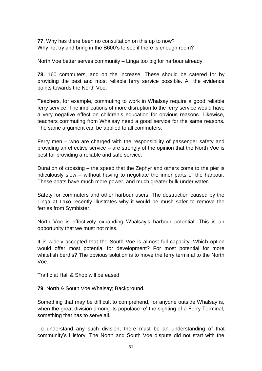**77**. Why has there been no consultation on this up to now? Why not try and bring in the B600's to see if there is enough room?

North Voe better serves community – Linga too big for harbour already.

**78.** 160 commuters, and on the increase. These should be catered for by providing the best and most reliable ferry service possible. All the evidence points towards the North Voe.

Teachers, for example, commuting to work in Whalsay require a good reliable ferry service. The implications of more disruption to the ferry service would have a very negative effect on children"s education for obvious reasons. Likewise, teachers commuting from Whalsay need a good service for the same reasons. The same argument can be applied to all commuters.

Ferry men – who are charged with the responsibility of passenger safety and providing an effective service – are strongly of the opinion that the North Voe is best for providing a reliable and safe service.

Duration of crossing – the speed that the Zephyr and others come to the pier is ridiculously slow – without having to negotiate the inner parts of the harbour. These boats have much more power, and much greater bulk under water.

Safety for commuters and other harbour users. The destruction caused by the Linga at Laxo recently illustrates why it would be mush safer to remove the ferries from Symbister.

North Voe is effectively expanding Whalsay"s harbour potential. This is an opportunity that we must not miss.

It is widely accepted that the South Voe is almost full capacity. Which option would offer most potential for development? For most potential for more whitefish berths? The obvious solution is to move the ferry terminal to the North Voe.

Traffic at Hall & Shop will be eased.

**79**. North & South Voe Whalsay; Background.

Something that may be difficult to comprehend, for anyone outside Whalsay is, when the great division among its populace re' the sighting of a Ferry Terminal, something that has to serve all.

To understand any such division, there must be an understanding of that community"s History. The North and South Voe dispute did not start with the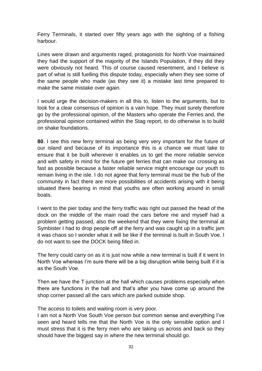Ferry Terminals, it started over fifty years ago with the sighting of a fishing harbour.

Lines were drawn and arguments raged, protagonists for North Voe maintained they had the support of the majority of the Islands Population, if they did they were obviously not heard. This of course caused resentment, and I believe is part of what is still fuelling this dispute today, especially when they see some of the same people who made (as they see it) a mistake last time prepared to make the same mistake over again.

I would urge the decision-makers in all this to, listen to the arguments, but to look for a clear consensus of opinion is a vain hope. They must surely therefore go by the professional opinion, of the Masters who operate the Ferries and, the professional opinion contained within the Stag report, to do otherwise is to build on shake foundations.

**80**. I see this new ferry terminal as being very very important for the future of our island and because of its importance this is a chance we must take to ensure that it be built wherever it enables us to get the more reliable service and with safety in mind for the future get ferries that can make our crossing as fast as possible because a faster reliable service might encourage our youth to remain living in the isle. I do not agree that ferry terminal must be the hub of the community in fact there are more possibilities of accidents arising with it being situated there bearing in mind that youths are often working around in small boats.

I went to the pier today and the ferry traffic was right out passed the head of the dock on the middle of the main road the cars before me and myself had a problem getting passed, also the weekend that they were fixing the terminal at Symbister I had to drop people off at the ferry and was caught up in a traffic jam it was chaos so I wonder what it will be like if the terminal is built in South Voe. I do not want to see the DOCK being filled in.

The ferry could carry on as it is just now while a new terminal is built if it went In North Voe whereas I"m sure there will be a big disruption while being built if it is as the South Voe.

Then we have the T-junction at the hall which causes problems especially when there are functions in the hall and that"s after you have come up around the shop corner passed all the cars which are parked outside shop.

The access to toilets and waiting room is very poor.

I am not a North Voe South Voe person but common sense and everything I"ve seen and heard tells me that the North Voe is the only sensible option and I must stress that it is the ferry men who are taking us across and back so they should have the biggest say in where the new terminal should go.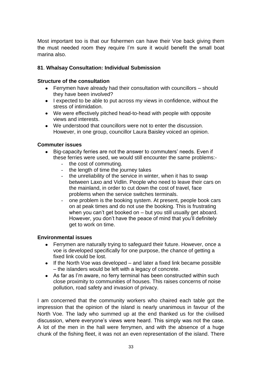Most important too is that our fishermen can have their Voe back giving them the must needed room they require I"m sure it would benefit the small boat marina also.

# **81**. **Whalsay Consultation: Individual Submission**

#### **Structure of the consultation**

- Ferrymen have already had their consultation with councillors should they have been involved?
- I expected to be able to put across my views in confidence, without the stress of intimidation.
- We were effectively pitched head-to-head with people with opposite views and interests.
- We understood that councillors were not to enter the discussion. However, in one group, councillor Laura Baisley voiced an opinion.

#### **Commuter issues**

- Big-capacity ferries are not the answer to commuters' needs. Even if these ferries were used, we would still encounter the same problems:-
	- the cost of commuting.
	- the length of time the journey takes
	- the unreliability of the service in winter, when it has to swap between Laxo and Vidlin. People who need to leave their cars on the mainland, in order to cut down the cost of travel, face problems when the service switches terminals.
	- one problem is the booking system. At present, people book cars on at peak times and do not use the booking. This is frustrating when you can't get booked on - but you still usually get aboard. However, you don"t have the peace of mind that you"ll definitely get to work on time.

## **Environmental issues**

- Ferrymen are naturally trying to safeguard their future. However, once a voe is developed specifically for one purpose, the chance of getting a fixed link could be lost.
- $\bullet$  If the North Voe was developed and later a fixed link became possible – the islanders would be left with a legacy of concrete.
- As far as I'm aware, no ferry terminal has been constructed within such close proximity to communities of houses. This raises concerns of noise pollution, road safety and invasion of privacy.

I am concerned that the community workers who chaired each table got the impression that the opinion of the island is nearly unanimous in favour of the North Voe. The lady who summed up at the end thanked us for the civilised discussion, where everyone's views were heard. This simply was not the case. A lot of the men in the hall were ferrymen, and with the absence of a huge chunk of the fishing fleet, it was not an even representation of the island. There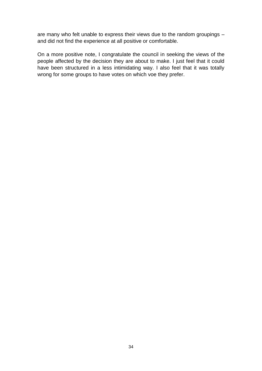are many who felt unable to express their views due to the random groupings – and did not find the experience at all positive or comfortable.

On a more positive note, I congratulate the council in seeking the views of the people affected by the decision they are about to make. I just feel that it could have been structured in a less intimidating way. I also feel that it was totally wrong for some groups to have votes on which voe they prefer.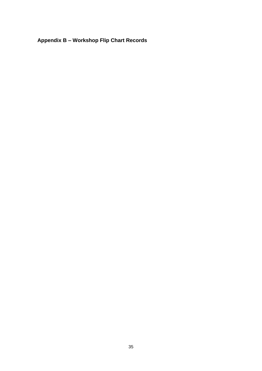# **Appendix B – Workshop Flip Chart Records**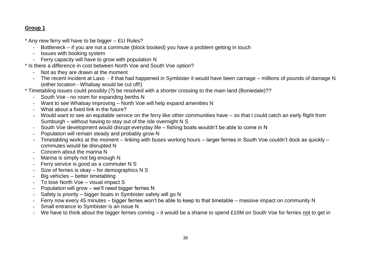\* Any new ferry will have to be bigger – EU Rules?

- Bottleneck if you are not a commute (block booked) you have a problem getting in touch
- Issues with booking system
- Ferry capacity will have to grow with population N

\* Is there a difference in cost between North Voe and South Voe option?

- Not as they are drawn at the moment
- The recent incident at Laxo if that had happened in Symbister it would have been carnage millions of pounds of damage N (either location - Whalsay would be cut off!)
- \* Timetabling issues could possibly (?) be resolved with a shorter crossing to the main land (Boniedale)??
	- South Voe no room for expanding berths N
	- Want to see Whalsay improving North Voe will help expand amenities N
	- What about a fixed link in the future?
	- Would want to see an equitable service on the ferry like other communities have so that I could catch an early flight from Sumburgh – without having to stay out of the isle overnight N S
	- South Voe development would disrupt everyday life fishing boats wouldn"t be able to come in N
	- Population will remain steady and probably grow N
	- Timetabling works at the moment linking with buses working hours larger ferries in South Voe couldn"t dock as quickly commutes would be disrupted N
	- Concern about the marina N
	- Marina is simply not big enough N
	- Ferry service is good as a commuter N S
	- Size of ferries is okay for demographics N S
	- Big vehicles better timetabling
	- To lose North Voe visual impact S
	- Population will grow we"ll need bigger ferries N
	- Safety is priority bigger boats in Symbister safety will go N
	- Ferry now every 45 minutes bigger ferries won't be able to keep to that timetable massive impact on community N
	- Small entrance to Symbister is an issue N
	- We have to think about the bigger ferries coming it would be a shame to spend £10M on South Voe for ferries not to get in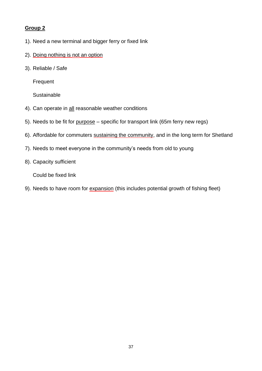- 1). Need a new terminal and bigger ferry or fixed link
- 2). Doing nothing is not an option
- 3). Reliable / Safe

**Frequent** 

**Sustainable** 

- 4). Can operate in all reasonable weather conditions
- 5). Needs to be fit for purpose specific for transport link (65m ferry new regs)
- 6). Affordable for commuters sustaining the community, and in the long term for Shetland
- 7). Needs to meet everyone in the community's needs from old to young
- 8). Capacity sufficient

Could be fixed link

9). Needs to have room for expansion (this includes potential growth of fishing fleet)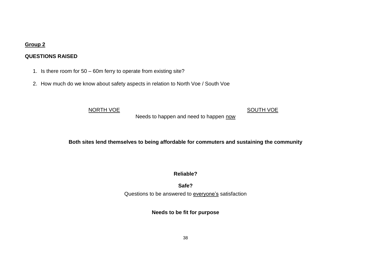# **QUESTIONS RAISED**

- 1. Is there room for 50 60m ferry to operate from existing site?
- 2. How much do we know about safety aspects in relation to North Voe / South Voe

#### NORTH VOE SOUTH VOE

Needs to happen and need to happen now

**Both sites lend themselves to being affordable for commuters and sustaining the community**

**Reliable?**

**Safe?** Questions to be answered to **everyone's** satisfaction

**Needs to be fit for purpose**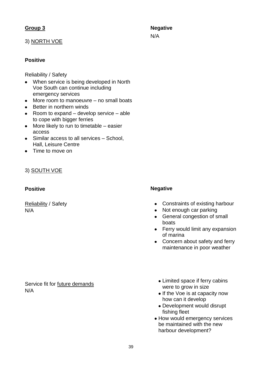#### 3) NORTH VOE

# **Positive**

Reliability / Safety

- When service is being developed in North Voe South can continue including emergency services
- More room to manoeuvre no small boats
- Better in northern winds
- Room to expand develop service able to cope with bigger ferries
- More likely to run to timetable easier access
- Similar access to all services School. Hall, Leisure Centre
- Time to move on

#### 3) SOUTH VOE

#### **Positive**

Reliability / Safety N/A

#### **Negative**

- Constraints of existing harbour
- Not enough car parking
- General congestion of small boats
- Ferry would limit any expansion of marina
- Concern about safety and ferry maintenance in poor weather

Service fit for future demands N/A

- Limited space if ferry cabins were to grow in size
- If the Voe is at capacity now how can it develop
- Development would disrupt fishing fleet
- How would emergency services be maintained with the new harbour development?

**Negative** N/A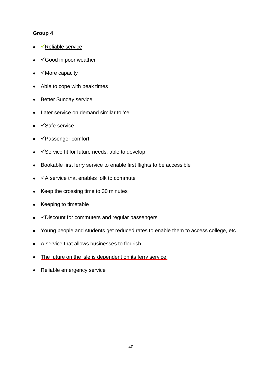- $\checkmark$  Reliable service
- $\checkmark$  Good in poor weather
- $\checkmark$  More capacity  $\bullet$
- Able to cope with peak times  $\bullet$
- Better Sunday service
- Later service on demand similar to Yell  $\bullet$
- $\checkmark$ Safe service  $\bullet$
- Passenger comfort
- $\checkmark$  Service fit for future needs, able to develop  $\bullet$
- Bookable first ferry service to enable first flights to be accessible  $\bullet$
- $\checkmark$  A service that enables folk to commute  $\bullet$
- Keep the crossing time to 30 minutes  $\bullet$
- Keeping to timetable  $\bullet$
- $\checkmark$  Discount for commuters and regular passengers  $\bullet$
- Young people and students get reduced rates to enable them to access college, etc  $\bullet$
- A service that allows businesses to flourish  $\bullet$
- The future on the isle is dependent on its ferry service
- Reliable emergency service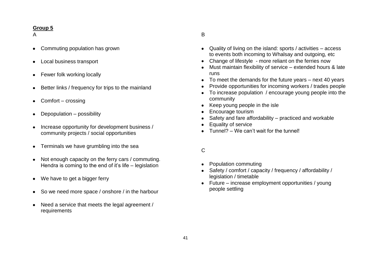#### A

- Commuting population has grown
- Local business transport
- Fewer folk working locally
- Better links / frequency for trips to the mainland
- Comfort crossing
- Depopulation possibility
- Increase opportunity for development business / community projects / social opportunities
- Terminals we have grumbling into the sea
- Not enough capacity on the ferry cars / commuting. Hendra is coming to the end of it"s life – legislation
- We have to get a bigger ferry
- So we need more space / onshore / in the harbour
- Need a service that meets the legal agreement / requirements

# B

- Quality of living on the island: sports / activities access to events both incoming to Whalsay and outgoing, etc
- Change of lifestyle more reliant on the ferries now
- Must maintain flexibility of service extended hours & late runs
- To meet the demands for the future years next 40 years
- Provide opportunities for incoming workers / trades people
- To increase population / encourage young people into the community
- Keep young people in the isle
- Encourage tourism
- Safety and fare affordability practiced and workable
- Equality of service
- $\bullet$  Tunnel? We can't wait for the tunnel!

#### $\mathcal{C}$

- Population commuting
- Safety / comfort / capacity / frequency / affordability / legislation / timetable
- Future increase employment opportunities / young people settling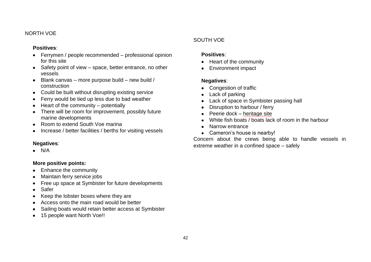#### NORTH VOE

## **Positives**:

- Ferrymen / people recommended professional opinion for this site
- Safety point of view space, better entrance, no other vessels
- Blank canvas more purpose build new build /  $\bullet$ construction
- Could be built without disrupting existing service  $\bullet$
- Ferry would be tied up less due to bad weather  $\bullet$
- Heart of the community potentially
- There will be room for improvement, possibly future marine developments
- Room to extend South Voe marina  $\bullet$
- Increase / better facilities / berths for visiting vessels

# **Negatives**:

 $\bullet$  N/A

# **More positive points:**

- Enhance the community
- Maintain ferry service jobs
- Free up space at Symbister for future developments
- Safer
- Keep the lobster boxes where they are
- Access onto the main road would be better
- Sailing boats would retain better access at Symbister
- 15 people want North Voe!!

# SOUTH VOE

# **Positives**:

- Heart of the community
- Environment impact  $\bullet$

# **Negatives**:

- Congestion of traffic
- Lack of parking
- Lack of space in Symbister passing hall  $\bullet$
- Disruption to harbour / ferry  $\bullet$
- Peerie dock heritage site  $\bullet$
- White fish boats / boats lack of room in the harbour
- Narrow entrance
- Cameron's house is nearby!

Concern about the crews being able to handle vessels in extreme weather in a confined space – safely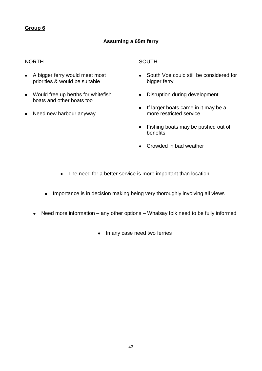# **Assuming a 65m ferry**

## NORTH

- A bigger ferry would meet most priorities & would be suitable
- Would free up berths for whitefish boats and other boats too
- Need new harbour anyway

**SOUTH** 

- South Voe could still be considered for bigger ferry
- Disruption during development
- If larger boats came in it may be a more restricted service
- Fishing boats may be pushed out of benefits
- Crowded in bad weather
- The need for a better service is more important than location
- Importance is in decision making being very thoroughly involving all views
- Need more information any other options Whalsay folk need to be fully informed
	- In any case need two ferries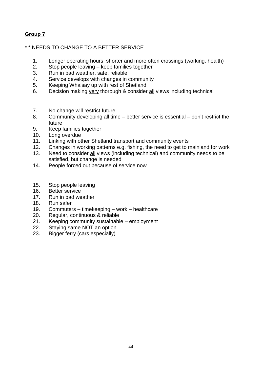# \* \* NEEDS TO CHANGE TO A BETTER SERVICE

- 1. Longer operating hours, shorter and more often crossings (working, health)
- 2. Stop people leaving keep families together
- 3. Run in bad weather, safe, reliable
- 4. Service develops with changes in community
- 5. Keeping Whalsay up with rest of Shetland
- 6. Decision making very thorough & consider all views including technical
- 7. No change will restrict future
- 8. Community developing all time better service is essential don"t restrict the future
- 9. Keep families together
- 10. Long overdue
- 11. Linking with other Shetland transport and community events
- 12. Changes in working patterns e.g. fishing, the need to get to mainland for work
- 13. Need to consider all views (including technical) and community needs to be satisfied, but change is needed
- 14. People forced out because of service now
- 15. Stop people leaving
- 16. Better service
- 17. Run in bad weather
- 18. Run safer
- 19. Commuters timekeeping work healthcare
- 20. Regular, continuous & reliable
- 21. Keeping community sustainable employment
- 22. Staying same NOT an option
- 23. Bigger ferry (cars especially)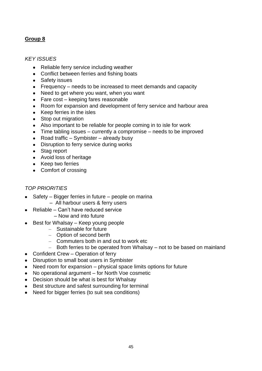#### *KEY ISSUES*

- Reliable ferry service including weather
- Conflict between ferries and fishing boats
- Safety issues
- Frequency needs to be increased to meet demands and capacity
- Need to get where you want, when you want
- Fare cost keeping fares reasonable
- Room for expansion and development of ferry service and harbour area
- Keep ferries in the isles
- Stop out migration  $\bullet$
- Also important to be reliable for people coming in to isle for work
- Time tabling issues currently a compromise needs to be improved
- Road traffic Symbister already busy
- Disruption to ferry service during works
- Stag report
- Avoid loss of heritage
- Keep two ferries
- Comfort of crossing

## *TOP PRIORITIES*

- Safety Bigger ferries in future people on marina – All harbour users & ferry users
- Reliable Can"t have reduced service
	- Now and into future
- $\bullet$  Best for Whalsay Keep young people
	- Sustainable for future
	- Option of second berth
	- Commuters both in and out to work etc
	- Both ferries to be operated from Whalsay not to be based on mainland
- Confident Crew Operation of ferry
- Disruption to small boat users in Symbister
- Need room for expansion physical space limits options for future
- No operational argument for North Voe cosmetic
- Decision should be what is best for Whalsay
- Best structure and safest surrounding for terminal
- Need for bigger ferries (to suit sea conditions)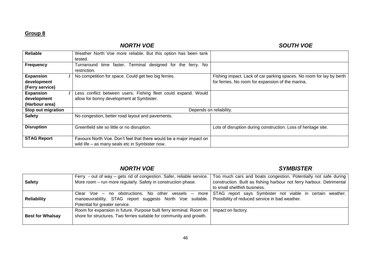# *NORTH VOE SOUTH VOE*

| Reliable           | Weather North Voe more reliable. But this option has been tank      |                                                                      |
|--------------------|---------------------------------------------------------------------|----------------------------------------------------------------------|
|                    | tested.                                                             |                                                                      |
| <b>Frequency</b>   | Turnaround time faster. Terminal designed for the ferry. No         |                                                                      |
|                    | restriction.                                                        |                                                                      |
| <b>Expansion</b>   | No competition for space. Could get two big ferries.                | Fishing impact. Lack of car parking spaces. No room for lay by berth |
| development        |                                                                     | for ferries. No room for expansion of the marina.                    |
| (Ferry service)    |                                                                     |                                                                      |
| <b>Expansion</b>   | Less conflict between users. Fishing fleet could expand. Would      |                                                                      |
| development        | allow for bonny development at Symbister.                           |                                                                      |
| (Harbour area)     |                                                                     |                                                                      |
| Stop out migration | Depends on reliability.                                             |                                                                      |
| <b>Safety</b>      | No congestion, better road layout and pavements.                    |                                                                      |
|                    |                                                                     |                                                                      |
| <b>Disruption</b>  | Greenfield site so little or no disruption.                         | Lots of disruption during construction. Loss of heritage site.       |
|                    |                                                                     |                                                                      |
| <b>STAG Report</b> | Favours North Voe. Don't feel that there would be a major impact on |                                                                      |
|                    | wild life – as many seals etc in Symbister now.                     |                                                                      |

# *NORTH VOE SYMBISTER*

|                         | Ferry - out of way – gets rid of congestion. Safer, reliable service.                                    | Too much cars and boats congestion. Potentially not safe during                                                |
|-------------------------|----------------------------------------------------------------------------------------------------------|----------------------------------------------------------------------------------------------------------------|
| <b>Safety</b>           | More room - run more regularly. Safety in construction phase.                                            | construction. Built as fishing harbour not ferry harbour. Detrimental                                          |
|                         |                                                                                                          | to small shellfish business.                                                                                   |
|                         |                                                                                                          | Clear Voe – no obstructions. No other vessels – more STAG report says Symbister not viable in certain weather. |
| <b>Reliability</b>      | manoeuvrability. STAG report suggests North Voe suitable. Possibility of reduced service in bad weather. |                                                                                                                |
|                         | Potential for greater service.                                                                           |                                                                                                                |
|                         | Room for expansion in future. Purpose built ferry terminal. Room on                                      | Impact on factory.                                                                                             |
| <b>Best for Whalsay</b> | shore for structures. Two ferries suitable for community and growth.                                     |                                                                                                                |
|                         |                                                                                                          |                                                                                                                |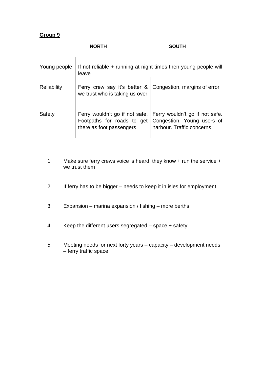#### **NORTH SOUTH**

| Young people       | If not reliable $+$ running at night times then young people will<br>leave |                                                                                                                            |  |
|--------------------|----------------------------------------------------------------------------|----------------------------------------------------------------------------------------------------------------------------|--|
| <b>Reliability</b> | Ferry crew say it's better &<br>we trust who is taking us over             | Congestion, margins of error                                                                                               |  |
| Safety             | Footpaths for roads to get<br>there as foot passengers                     | Ferry wouldn't go if not safe.   Ferry wouldn't go if not safe.<br>Congestion. Young users of<br>harbour. Traffic concerns |  |

- 1. Make sure ferry crews voice is heard, they know + run the service + we trust them
- 2. If ferry has to be bigger needs to keep it in isles for employment
- 3. Expansion marina expansion / fishing more berths
- 4. Keep the different users segregated space + safety
- 5. Meeting needs for next forty years capacity development needs – ferry traffic space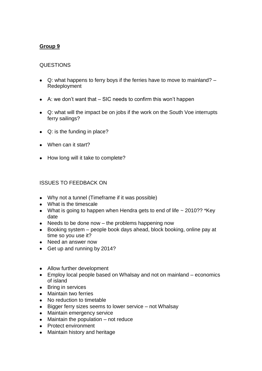#### QUESTIONS

- Q: what happens to ferry boys if the ferries have to move to mainland? Redeployment
- $\bullet$  A: we don't want that  $-$  SIC needs to confirm this won't happen
- Q: what will the impact be on jobs if the work on the South Voe interrupts ferry sailings?
- Q: is the funding in place?
- When can it start?
- How long will it take to complete?

#### ISSUES TO FEEDBACK ON

- Why not a tunnel (Timeframe if it was possible)
- What is the timescale
- What is going to happen when Hendra gets to end of life  $\sim$  2010?? \*Key date
- $\bullet$  Needs to be done now the problems happening now
- Booking system people book days ahead, block booking, online pay at time so you use it?
- Need an answer now
- Get up and running by 2014?
- Allow further development
- Employ local people based on Whalsay and not on mainland economics of island
- Bring in services
- Maintain two ferries
- No reduction to timetable
- Bigger ferry sizes seems to lower service not Whalsay
- Maintain emergency service
- $\bullet$  Maintain the population  $-$  not reduce
- Protect environment
- Maintain history and heritage